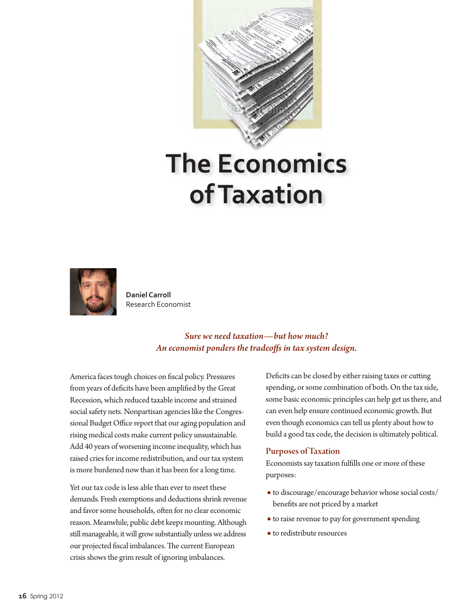

# **The Economics of Taxation**



**Daniel Carroll** Research Economist

## *Sure we need taxation—but how much? An economist ponders the tradeoffs in tax system design.*

America faces tough choices on fiscal policy. Pressures from years of deficits have been amplified by the Great Recession, which reduced taxable income and strained social safety nets. Nonpartisan agencies like the Congressional Budget Office report that our aging population and rising medical costs make current policy unsustainable. Add 40 years of worsening income inequality, which has raised cries for income redistribution, and our tax system is more burdened now than it has been for a long time.

Yet our tax code is less able than ever to meet these demands. Fresh exemptions and deductions shrink revenue and favor some households, often for no clear economic reason. Meanwhile, public debt keeps mounting. Although still manageable, it will grow substantially unless we address our projected fiscal imbalances. The current European crisis shows the grim result of ignoring imbalances.

Deficits can be closed by either raising taxes or cutting spending, or some combination of both. On the tax side, some basic economic principles can help get us there, and can even help ensure continued economic growth. But even though economics can tell us plenty about how to build a good tax code, the decision is ultimately political.

#### Purposes of Taxation

Economists say taxation fulfills one or more of these purposes:

- to discourage/encourage behavior whose social costs/ benefits are not priced by a market
- to raise revenue to pay for government spending
- to redistribute resources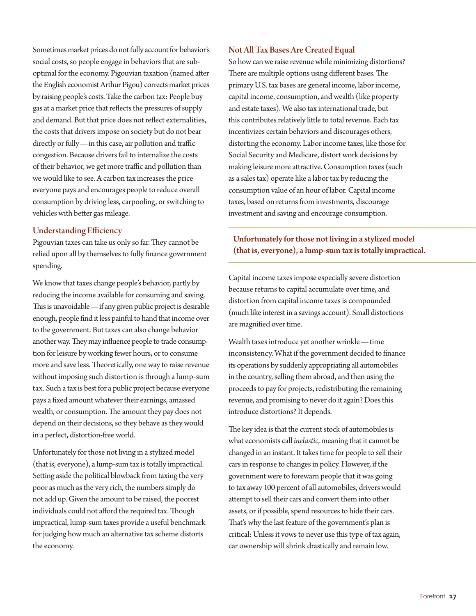Sometimes market prices do not fully account for behavior's social costs, so people engage in behaviors that are suboptimal for the economy. Pigouvian taxation (named after the English economist Arthur Pigou) corrects market prices by raising people's costs. Take the carbon tax: People buy gas at a market price that reflects the pressures of supply and demand. But that price does not reflect externalities, the costs that drivers impose on society but do not bear directly or fully—in this case, air pollution and traffic congestion. Because drivers fail to internalize the costs of their behavior, we get more traffic and pollution than we would like to see. A carbon tax increases the price everyone pays and encourages people to reduce overall consumption by driving less, carpooling, or switching to vehicles with better gas mileage.

### Understanding Efficiency

Pigouvian taxes can take us only so far. They cannot be relied upon all by themselves to fully finance government spending.

We know that taxes change people's behavior, partly by reducing the income available for consuming and saving. This is unavoidable—if any given public project is desirable enough, people find it less painful to hand that income over to the government. But taxes can also change behavior another way. They may influence people to trade consumption for leisure by working fewer hours, or to consume more and save less. Theoretically, one way to raise revenue without imposing such distortion is through a lump-sum tax. Such a tax is best for a public project because everyone pays a fixed amount whatever their earnings, amassed wealth, or consumption. The amount they pay does not depend on their decisions, so they behave as they would in a perfect, distortion-free world.

Unfortunately for those not living in a stylized model (that is, everyone), a lump-sum tax is totally impractical. Setting aside the political blowback from taxing the very poor as much as the very rich, the numbers simply do not add up. Given the amount to be raised, the poorest individuals could not afford the required tax. Though impractical, lump-sum taxes provide a useful benchmark for judging how much an alternative tax scheme distorts the economy.

#### Not All Tax Bases Are Created Equal

So how can we raise revenue while minimizing distortions? There are multiple options using different bases. The primary U.S. tax bases are general income, labor income, capital income, consumption, and wealth (like property and estate taxes). We also tax international trade, but this contributes relatively little to total revenue. Each tax incentivizes certain behaviors and discourages others, distorting the economy. Labor income taxes, like those for Social Security and Medicare, distort work decisions by making leisure more attractive. Consumption taxes (such as a sales tax) operate like a labor tax by reducing the consumption value of an hour of labor. Capital income taxes, based on returns from investments, discourage investment and saving and encourage consumption.

## Unfortunately for those not living in a stylized model (that is, everyone), a lump-sum tax is totally impractical.

Capital income taxes impose especially severe distortion because returns to capital accumulate over time, and distortion from capital income taxes is compounded (much like interest in a savings account). Small distortions are magnified over time.

Wealth taxes introduce yet another wrinkle—time inconsistency. What if the government decided to finance its operations by suddenly appropriating all automobiles in the country, selling them abroad, and then using the proceeds to pay for projects, redistributing the remaining revenue, and promising to never do it again? Does this introduce distortions? It depends.

The key idea is that the current stock of automobiles is what economists call *inelastic*, meaning that it cannot be changed in an instant. It takes time for people to sell their cars in response to changes in policy. However, if the government were to forewarn people that it was going to tax away 100 percent of all automobiles, drivers would attempt to sell their cars and convert them into other assets, or if possible, spend resources to hide their cars. That's why the last feature of the government's plan is critical: Unless it vows to never use this type of tax again, car ownership will shrink drastically and remain low.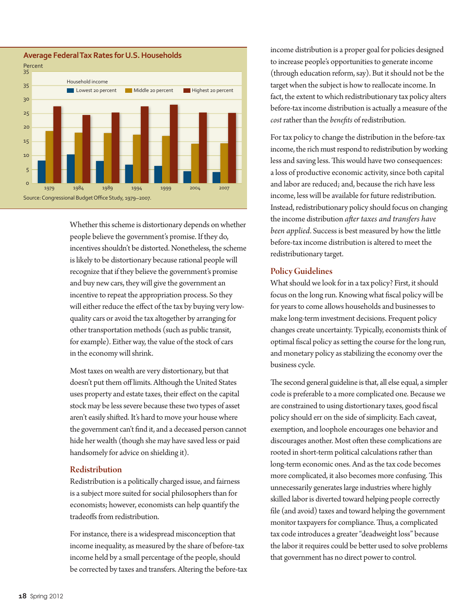

Whether this scheme is distortionary depends on whether people believe the government's promise. If they do, incentives shouldn't be distorted. Nonetheless, the scheme is likely to be distortionary because rational people will recognize that if they believe the government's promise and buy new cars, they will give the government an incentive to repeat the appropriation process. So they will either reduce the effect of the tax by buying very lowquality cars or avoid the tax altogether by arranging for other transportation methods (such as public transit, for example). Either way, the value of the stock of cars in the economy will shrink.

Most taxes on wealth are very distortionary, but that doesn't put them off limits. Although the United States uses property and estate taxes, their effect on the capital stock may be less severe because these two types of asset aren't easily shifted. It's hard to move your house where the government can't find it, and a deceased person cannot hide her wealth (though she may have saved less or paid handsomely for advice on shielding it).

#### Redistribution

Redistribution is a politically charged issue, and fairness is a subject more suited for social philosophers than for economists; however, economists can help quantify the tradeoffs from redistribution.

For instance, there is a widespread misconception that income inequality, as measured by the share of before-tax income held by a small percentage of the people, should be corrected by taxes and transfers. Altering the before-tax

income distribution is a proper goal for policies designed to increase people's opportunities to generate income (through education reform, say). But it should not be the target when the subject is how to reallocate income. In fact, the extent to which redistributionary tax policy alters before-tax income distribution is actually a measure of the *cost* rather than the *benefits* of redistribution.

For tax policy to change the distribution in the before-tax income, the rich must respond to redistribution by working less and saving less. This would have two consequences: a loss of productive economic activity, since both capital and labor are reduced; and, because the rich have less income, less will be available for future redistribution. Instead, redistributionary policy should focus on changing the income distribution *after taxes and transfers have been applied*. Success is best measured by how the little before-tax income distribution is altered to meet the redistributionary target.

### Policy Guidelines

What should we look for in a tax policy? First, it should focus on the long run. Knowing what fiscal policy will be for years to come allows households and businesses to make long-term investment decisions. Frequent policy changes create uncertainty. Typically, economists think of optimal fiscal policy as setting the course for the long run, and monetary policy as stabilizing the economy over the business cycle.

The second general guideline is that, all else equal, a simpler code is preferable to a more complicated one. Because we are constrained to using distortionary taxes, good fiscal policy should err on the side of simplicity. Each caveat, exemption, and loophole encourages one behavior and discourages another. Most often these complications are rooted in short-term political calculations rather than long-term economic ones. And as the tax code becomes more complicated, it also becomes more confusing. This unnecessarily generates large industries where highly skilled labor is diverted toward helping people correctly file (and avoid) taxes and toward helping the government monitor taxpayers for compliance. Thus, a complicated tax code introduces a greater "deadweight loss" because the labor it requires could be better used to solve problems that government has no direct power to control.